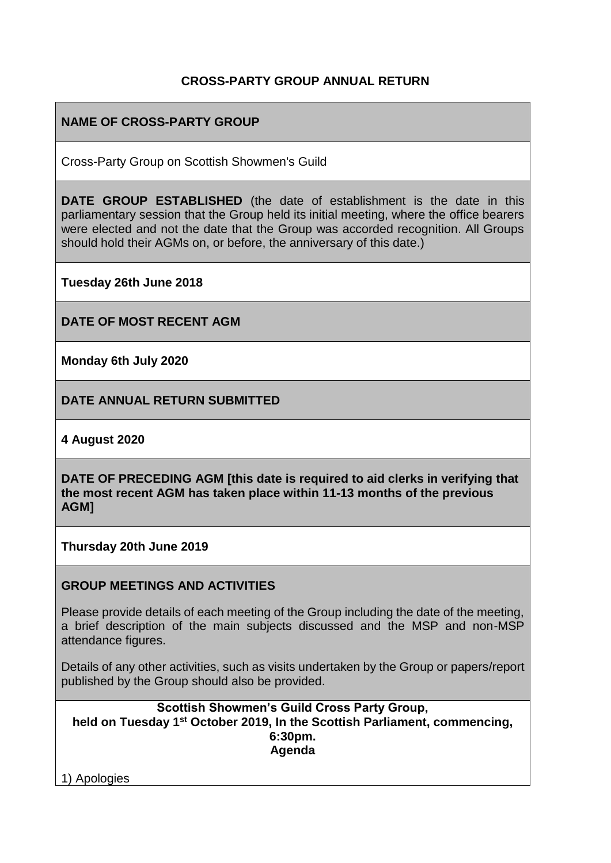# **CROSS-PARTY GROUP ANNUAL RETURN**

# **NAME OF CROSS-PARTY GROUP**

Cross-Party Group on Scottish Showmen's Guild

**DATE GROUP ESTABLISHED** (the date of establishment is the date in this parliamentary session that the Group held its initial meeting, where the office bearers were elected and not the date that the Group was accorded recognition. All Groups should hold their AGMs on, or before, the anniversary of this date.)

**Tuesday 26th June 2018**

**DATE OF MOST RECENT AGM**

**Monday 6th July 2020**

**DATE ANNUAL RETURN SUBMITTED**

**4 August 2020**

**DATE OF PRECEDING AGM [this date is required to aid clerks in verifying that the most recent AGM has taken place within 11-13 months of the previous AGM]**

**Thursday 20th June 2019**

#### **GROUP MEETINGS AND ACTIVITIES**

Please provide details of each meeting of the Group including the date of the meeting, a brief description of the main subjects discussed and the MSP and non-MSP attendance figures.

Details of any other activities, such as visits undertaken by the Group or papers/report published by the Group should also be provided.

**Scottish Showmen's Guild Cross Party Group, held on Tuesday 1st October 2019, In the Scottish Parliament, commencing, 6:30pm. Agenda**

1) Apologies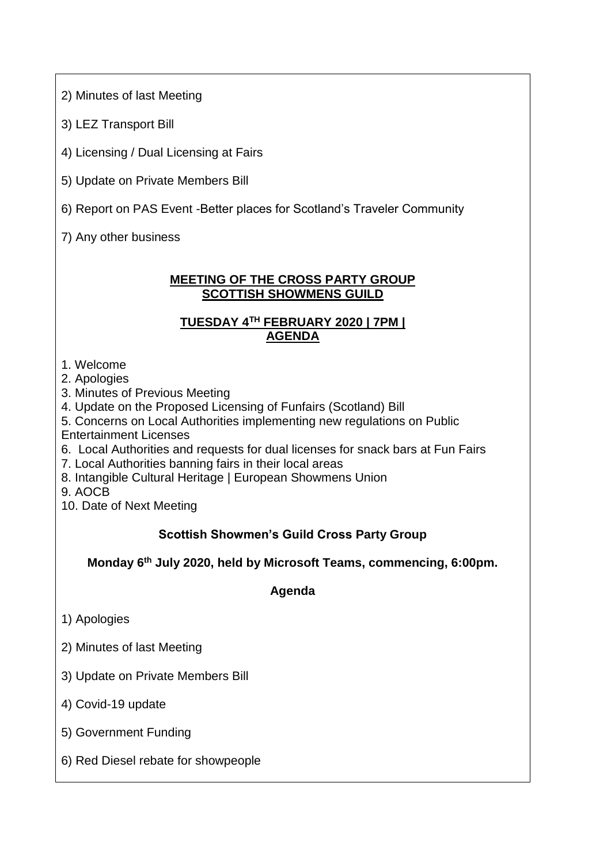2) Minutes of last Meeting

3) LEZ Transport Bill

4) Licensing / Dual Licensing at Fairs

- 5) Update on Private Members Bill
- 6) Report on PAS Event -Better places for Scotland's Traveler Community

7) Any other business

#### **MEETING OF THE CROSS PARTY GROUP SCOTTISH SHOWMENS GUILD**

# **TUESDAY 4TH FEBRUARY 2020 | 7PM | AGENDA**

1. Welcome

2. Apologies

3. Minutes of Previous Meeting

4. Update on the Proposed Licensing of Funfairs (Scotland) Bill

- 5. Concerns on Local Authorities implementing new regulations on Public Entertainment Licenses
- 6. Local Authorities and requests for dual licenses for snack bars at Fun Fairs
- 7. Local Authorities banning fairs in their local areas
- 8. Intangible Cultural Heritage | European Showmens Union

9. AOCB

10. Date of Next Meeting

# **Scottish Showmen's Guild Cross Party Group**

**Monday 6th July 2020, held by Microsoft Teams, commencing, 6:00pm.**

**Agenda**

- 1) Apologies
- 2) Minutes of last Meeting
- 3) Update on Private Members Bill
- 4) Covid-19 update
- 5) Government Funding
- 6) Red Diesel rebate for showpeople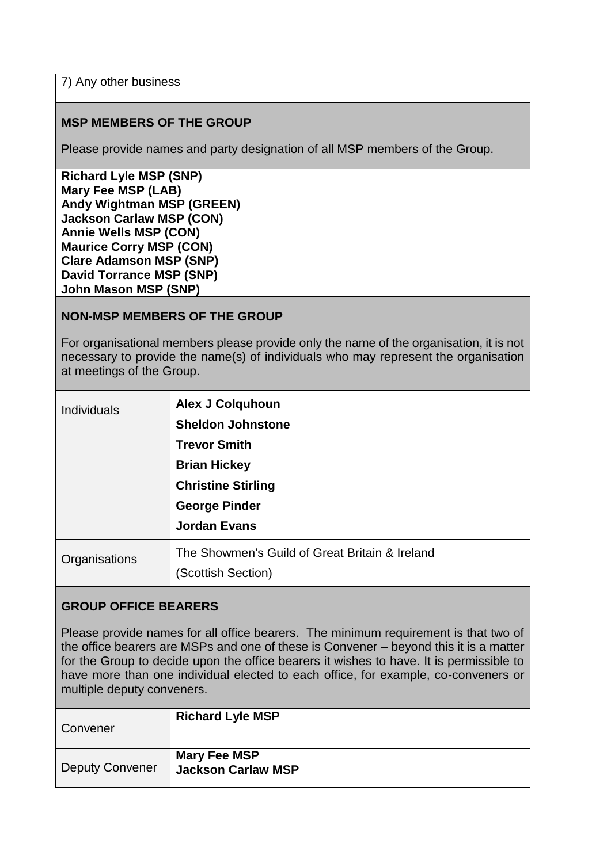7) Any other business

### **MSP MEMBERS OF THE GROUP**

Please provide names and party designation of all MSP members of the Group.

**Richard Lyle MSP (SNP) Mary Fee MSP (LAB) Andy Wightman MSP (GREEN) Jackson Carlaw MSP (CON) Annie Wells MSP (CON) Maurice Corry MSP (CON) Clare Adamson MSP (SNP) David Torrance MSP (SNP) John Mason MSP (SNP)** 

#### **NON-MSP MEMBERS OF THE GROUP**

For organisational members please provide only the name of the organisation, it is not necessary to provide the name(s) of individuals who may represent the organisation at meetings of the Group.

| Individuals   | <b>Alex J Colquhoun</b><br><b>Sheldon Johnstone</b><br><b>Trevor Smith</b><br><b>Brian Hickey</b><br><b>Christine Stirling</b><br><b>George Pinder</b><br><b>Jordan Evans</b> |
|---------------|-------------------------------------------------------------------------------------------------------------------------------------------------------------------------------|
| Organisations | The Showmen's Guild of Great Britain & Ireland<br>(Scottish Section)                                                                                                          |

#### **GROUP OFFICE BEARERS**

Please provide names for all office bearers. The minimum requirement is that two of the office bearers are MSPs and one of these is Convener – beyond this it is a matter for the Group to decide upon the office bearers it wishes to have. It is permissible to have more than one individual elected to each office, for example, co-conveners or multiple deputy conveners.

| Convener               | <b>Richard Lyle MSP</b>                          |
|------------------------|--------------------------------------------------|
| <b>Deputy Convener</b> | <b>Mary Fee MSP</b><br><b>Jackson Carlaw MSP</b> |